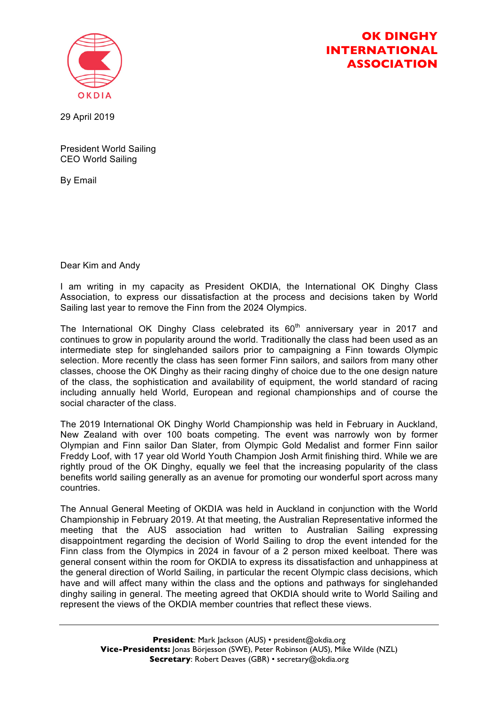

## **OK DINGHY INTERNATIONAL ASSOCIATION**

29 April 2019

President World Sailing CEO World Sailing

By Email

Dear Kim and Andy

I am writing in my capacity as President OKDIA, the International OK Dinghy Class Association, to express our dissatisfaction at the process and decisions taken by World Sailing last year to remove the Finn from the 2024 Olympics.

The International OK Dinghy Class celebrated its  $60<sup>th</sup>$  anniversary year in 2017 and continues to grow in popularity around the world. Traditionally the class had been used as an intermediate step for singlehanded sailors prior to campaigning a Finn towards Olympic selection. More recently the class has seen former Finn sailors, and sailors from many other classes, choose the OK Dinghy as their racing dinghy of choice due to the one design nature of the class, the sophistication and availability of equipment, the world standard of racing including annually held World, European and regional championships and of course the social character of the class.

The 2019 International OK Dinghy World Championship was held in February in Auckland, New Zealand with over 100 boats competing. The event was narrowly won by former Olympian and Finn sailor Dan Slater, from Olympic Gold Medalist and former Finn sailor Freddy Loof, with 17 year old World Youth Champion Josh Armit finishing third. While we are rightly proud of the OK Dinghy, equally we feel that the increasing popularity of the class benefits world sailing generally as an avenue for promoting our wonderful sport across many countries.

The Annual General Meeting of OKDIA was held in Auckland in conjunction with the World Championship in February 2019. At that meeting, the Australian Representative informed the meeting that the AUS association had written to Australian Sailing expressing disappointment regarding the decision of World Sailing to drop the event intended for the Finn class from the Olympics in 2024 in favour of a 2 person mixed keelboat. There was general consent within the room for OKDIA to express its dissatisfaction and unhappiness at the general direction of World Sailing, in particular the recent Olympic class decisions, which have and will affect many within the class and the options and pathways for singlehanded dinghy sailing in general. The meeting agreed that OKDIA should write to World Sailing and represent the views of the OKDIA member countries that reflect these views.